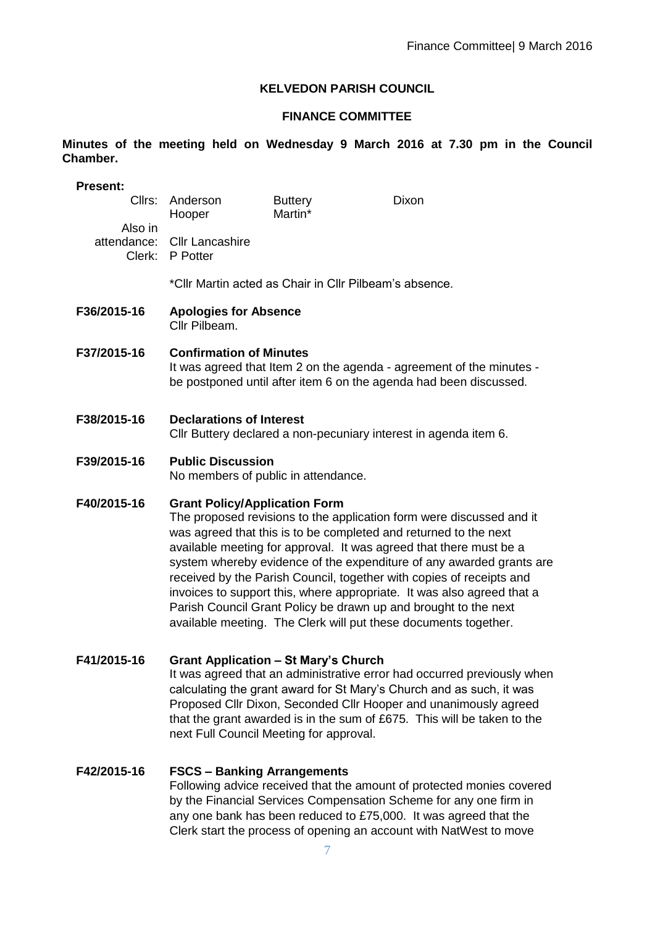#### **KELVEDON PARISH COUNCIL**

# **FINANCE COMMITTEE**

**Minutes of the meeting held on Wednesday 9 March 2016 at 7.30 pm in the Council Chamber.**

| <b>Present:</b>                  |                                                                                                                                                                                                                                                                                                                                                                                                                                                                                                                                                                                                                        |                           |              |  |
|----------------------------------|------------------------------------------------------------------------------------------------------------------------------------------------------------------------------------------------------------------------------------------------------------------------------------------------------------------------------------------------------------------------------------------------------------------------------------------------------------------------------------------------------------------------------------------------------------------------------------------------------------------------|---------------------------|--------------|--|
| Cllrs:                           | Anderson<br>Hooper                                                                                                                                                                                                                                                                                                                                                                                                                                                                                                                                                                                                     | <b>Buttery</b><br>Martin* | <b>Dixon</b> |  |
| Also in<br>attendance:<br>Clerk: | <b>Cllr Lancashire</b><br>P Potter                                                                                                                                                                                                                                                                                                                                                                                                                                                                                                                                                                                     |                           |              |  |
|                                  | *Cllr Martin acted as Chair in Cllr Pilbeam's absence.                                                                                                                                                                                                                                                                                                                                                                                                                                                                                                                                                                 |                           |              |  |
| F36/2015-16                      | <b>Apologies for Absence</b><br>Cllr Pilbeam.                                                                                                                                                                                                                                                                                                                                                                                                                                                                                                                                                                          |                           |              |  |
| F37/2015-16                      | <b>Confirmation of Minutes</b><br>It was agreed that Item 2 on the agenda - agreement of the minutes -<br>be postponed until after item 6 on the agenda had been discussed.                                                                                                                                                                                                                                                                                                                                                                                                                                            |                           |              |  |
| F38/2015-16                      | <b>Declarations of Interest</b><br>Cllr Buttery declared a non-pecuniary interest in agenda item 6.                                                                                                                                                                                                                                                                                                                                                                                                                                                                                                                    |                           |              |  |
| F39/2015-16                      | <b>Public Discussion</b><br>No members of public in attendance.                                                                                                                                                                                                                                                                                                                                                                                                                                                                                                                                                        |                           |              |  |
| F40/2015-16                      | <b>Grant Policy/Application Form</b><br>The proposed revisions to the application form were discussed and it<br>was agreed that this is to be completed and returned to the next<br>available meeting for approval. It was agreed that there must be a<br>system whereby evidence of the expenditure of any awarded grants are<br>received by the Parish Council, together with copies of receipts and<br>invoices to support this, where appropriate. It was also agreed that a<br>Parish Council Grant Policy be drawn up and brought to the next<br>available meeting. The Clerk will put these documents together. |                           |              |  |
| F41/2015-16                      | <b>Grant Application - St Mary's Church</b><br>It was agreed that an administrative error had occurred previously when<br>calculating the grant award for St Mary's Church and as such, it was<br>Proposed Cllr Dixon, Seconded Cllr Hooper and unanimously agreed<br>that the grant awarded is in the sum of £675. This will be taken to the<br>next Full Council Meeting for approval.                                                                                                                                                                                                                               |                           |              |  |
|                                  |                                                                                                                                                                                                                                                                                                                                                                                                                                                                                                                                                                                                                        |                           |              |  |

**F42/2015-16 FSCS – Banking Arrangements** Following advice received that the amount of protected monies covered by the Financial Services Compensation Scheme for any one firm in any one bank has been reduced to £75,000. It was agreed that the Clerk start the process of opening an account with NatWest to move